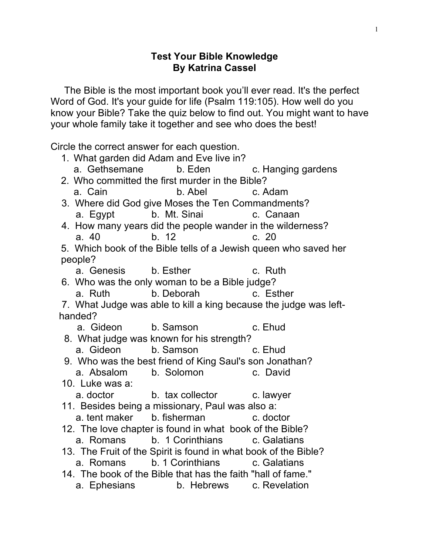## **Test Your Bible Knowledge By Katrina Cassel**

 The Bible is the most important book you'll ever read. It's the perfect Word of God. It's your guide for life (Psalm 119:105). How well do you know your Bible? Take the quiz below to find out. You might want to have your whole family take it together and see who does the best!

Circle the correct answer for each question.

| 1. What garden did Adam and Eve live in?                |                                                                   |         |
|---------------------------------------------------------|-------------------------------------------------------------------|---------|
|                                                         | a. Gethsemane b. Eden c. Hanging gardens                          |         |
| 2. Who committed the first murder in the Bible?         |                                                                   |         |
|                                                         | a. Cain b. Abel c. Adam                                           |         |
| 3. Where did God give Moses the Ten Commandments?       |                                                                   |         |
|                                                         | a. Egypt b. Mt. Sinai c. Canaan                                   |         |
|                                                         | 4. How many years did the people wander in the wilderness?        |         |
| a. 40                                                   | b. 12                                                             | c. 20   |
|                                                         | 5. Which book of the Bible tells of a Jewish queen who saved her  |         |
| people?                                                 |                                                                   |         |
|                                                         | a. Genesis b. Esther b. Esther c. Ruth                            |         |
| 6. Who was the only woman to be a Bible judge?          |                                                                   |         |
|                                                         | a. Ruth b. Deborah c. Esther                                      |         |
|                                                         | 7. What Judge was able to kill a king because the judge was left- |         |
| handed?                                                 |                                                                   |         |
|                                                         | a. Gideon b. Samson                                               | c. Ehud |
| 8. What judge was known for his strength?               |                                                                   |         |
|                                                         | a. Gideon b. Samson c. Ehud                                       |         |
| 9. Who was the best friend of King Saul's son Jonathan? |                                                                   |         |
|                                                         | a. Absalom b. Solomon c. David                                    |         |
| 10. Luke was a:                                         |                                                                   |         |
|                                                         | a. doctor b. tax collector c. lawyer                              |         |
| 11. Besides being a missionary, Paul was also a:        |                                                                   |         |
|                                                         | a. tent maker b. fisherman c. doctor                              |         |
|                                                         | 12. The love chapter is found in what book of the Bible?          |         |
|                                                         | a. Romans b. 1 Corinthians c. Galatians                           |         |
|                                                         | 13. The Fruit of the Spirit is found in what book of the Bible?   |         |
|                                                         | a. Romans b. 1 Corinthians c. Galatians                           |         |
|                                                         | 14. The book of the Bible that has the faith "hall of fame."      |         |
|                                                         | a. Ephesians b. Hebrews c. Revelation                             |         |
|                                                         |                                                                   |         |